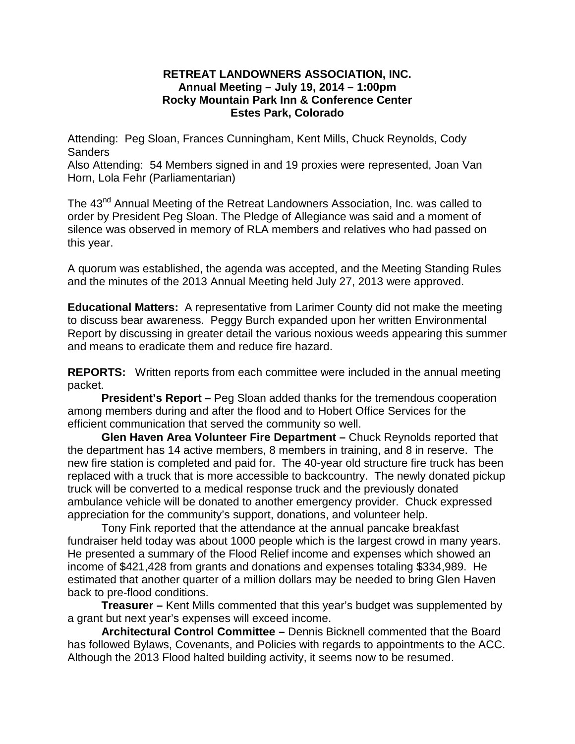## **RETREAT LANDOWNERS ASSOCIATION, INC. Annual Meeting – July 19, 2014 – 1:00pm Rocky Mountain Park Inn & Conference Center Estes Park, Colorado**

Attending: Peg Sloan, Frances Cunningham, Kent Mills, Chuck Reynolds, Cody Sanders

Also Attending: 54 Members signed in and 19 proxies were represented, Joan Van Horn, Lola Fehr (Parliamentarian)

The 43<sup>nd</sup> Annual Meeting of the Retreat Landowners Association, Inc. was called to order by President Peg Sloan. The Pledge of Allegiance was said and a moment of silence was observed in memory of RLA members and relatives who had passed on this year.

A quorum was established, the agenda was accepted, and the Meeting Standing Rules and the minutes of the 2013 Annual Meeting held July 27, 2013 were approved.

**Educational Matters:** A representative from Larimer County did not make the meeting to discuss bear awareness. Peggy Burch expanded upon her written Environmental Report by discussing in greater detail the various noxious weeds appearing this summer and means to eradicate them and reduce fire hazard.

**REPORTS:** Written reports from each committee were included in the annual meeting packet.

**President's Report –** Peg Sloan added thanks for the tremendous cooperation among members during and after the flood and to Hobert Office Services for the efficient communication that served the community so well.

**Glen Haven Area Volunteer Fire Department –** Chuck Reynolds reported that the department has 14 active members, 8 members in training, and 8 in reserve. The new fire station is completed and paid for. The 40-year old structure fire truck has been replaced with a truck that is more accessible to backcountry. The newly donated pickup truck will be converted to a medical response truck and the previously donated ambulance vehicle will be donated to another emergency provider. Chuck expressed appreciation for the community's support, donations, and volunteer help.

Tony Fink reported that the attendance at the annual pancake breakfast fundraiser held today was about 1000 people which is the largest crowd in many years. He presented a summary of the Flood Relief income and expenses which showed an income of \$421,428 from grants and donations and expenses totaling \$334,989. He estimated that another quarter of a million dollars may be needed to bring Glen Haven back to pre-flood conditions.

**Treasurer –** Kent Mills commented that this year's budget was supplemented by a grant but next year's expenses will exceed income.

**Architectural Control Committee –** Dennis Bicknell commented that the Board has followed Bylaws, Covenants, and Policies with regards to appointments to the ACC. Although the 2013 Flood halted building activity, it seems now to be resumed.